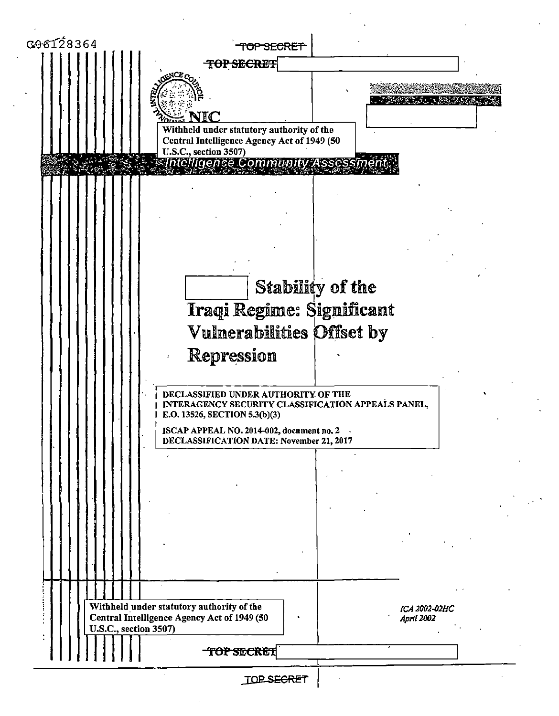| G96128364             | TOP SECRET                                                                                                                 |                             |
|-----------------------|----------------------------------------------------------------------------------------------------------------------------|-----------------------------|
|                       | <b>TOP SECRET</b>                                                                                                          |                             |
|                       | aN $\alpha_c$                                                                                                              |                             |
|                       |                                                                                                                            |                             |
|                       | IС                                                                                                                         |                             |
|                       | Withheld under statutory authority of the                                                                                  |                             |
|                       | Central Intelligence Agency Act of 1949 (50<br>U.S.C., section 3507)                                                       |                             |
|                       | <b>Thtelligence Community Assess</b>                                                                                       |                             |
|                       |                                                                                                                            |                             |
|                       |                                                                                                                            |                             |
|                       |                                                                                                                            |                             |
|                       |                                                                                                                            |                             |
|                       |                                                                                                                            |                             |
|                       |                                                                                                                            |                             |
|                       | Stability of the                                                                                                           |                             |
|                       |                                                                                                                            |                             |
|                       | Iraqi Regime: Significant                                                                                                  |                             |
|                       | Vulnerabilities Offset by                                                                                                  |                             |
|                       | Repression                                                                                                                 |                             |
|                       |                                                                                                                            |                             |
|                       | DECLASSIFIED UNDER AUTHORITY OF THE<br>INTERAGENCY SECURITY CLASSIFICATION APPEALS PANEL,<br>E.O. 13526, SECTION 5.3(b)(3) |                             |
|                       | ISCAP APPEAL NO. 2014-002, document no. 2<br>DECLASSIFICATION DATE: November 21, 2017                                      |                             |
|                       |                                                                                                                            |                             |
|                       |                                                                                                                            |                             |
|                       |                                                                                                                            |                             |
|                       |                                                                                                                            |                             |
|                       |                                                                                                                            |                             |
|                       |                                                                                                                            |                             |
|                       |                                                                                                                            |                             |
|                       |                                                                                                                            |                             |
|                       |                                                                                                                            |                             |
|                       | Withheld under statutory authority of the<br>Central Intelligence Agency Act of 1949 (50                                   | ICA 2002-02HC<br>April 2002 |
| U.S.C., section 3507) |                                                                                                                            |                             |
|                       | <b>TOP SECRET</b>                                                                                                          |                             |
|                       |                                                                                                                            |                             |
|                       | <b>TOP SECRET</b>                                                                                                          |                             |

 $\frac{1}{2}$ 

 $\frac{1}{2}$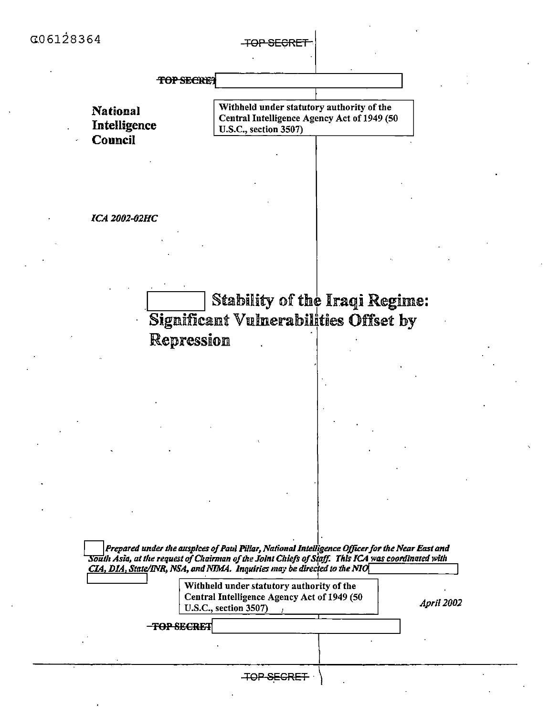<del>TOP SECRE</del>T

TOP SECRET

**National** Intelligence **Council** 

Withheld under statutory authority of the Central Intelligence Agency Act of 1949 (50 U.S.C., section 3507)

**ICA 2002-02HC** 

Stability of the Iraqi Regime: Significant Vulnerabilities Offset by Repression

Prepared under the auspices of Paul Pillar, National Intelligence Officer for the Near East and South Asia, at the request of Chairman of the Joint Chiefs of Staff. This ICA was coordinated with CIA, DIA, State/INR, NSA, and NIMA. Inquiries may be directed to the NIO

| Withheld under statutory authority of the   |
|---------------------------------------------|
| Central Intelligence Agency Act of 1949 (50 |
| <b>U.S.C., section 3507)</b>                |

**April 2002** 

-TOP SECRET

**TOP SEGRET**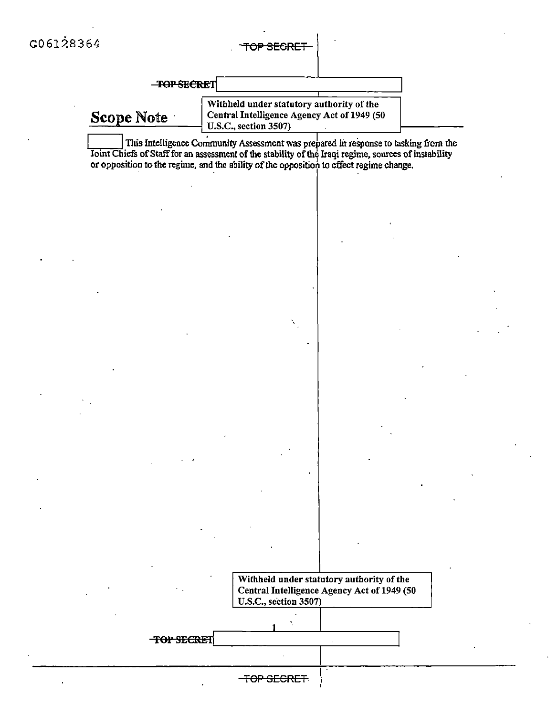#### TOP SEGRET

**TOP SECRET** 

Scope Note

Withheld under statutory authority of the Central Intelligence Agency Act of 1949 (50 U.S.C., section 3507)

This Intelligence Community Assessment was prepared in response to tasking from the Joint Chiefs of Staff for an assessment of the stability of the Iraqi regime, sources of instability or opposition to the regime, and the ability of the opposition to effect regime change.



TOP SECRET

-TOP SECRET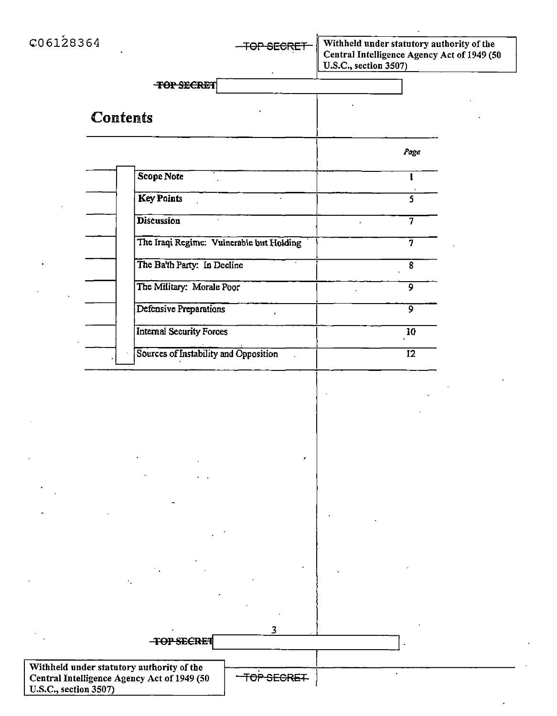| C06128364             | <del>TOP SECRET</del>                                     | Withheld under statutory authority of the<br>Central Intelligence Agency Act of 1949 (50<br>U.S.C., section 3507) |
|-----------------------|-----------------------------------------------------------|-------------------------------------------------------------------------------------------------------------------|
|                       | <b>TOP SECRET</b>                                         |                                                                                                                   |
|                       | <b>Contents</b>                                           |                                                                                                                   |
|                       |                                                           | Page                                                                                                              |
|                       | Scope Note                                                | 1                                                                                                                 |
|                       | <b>Key Points</b>                                         | 5                                                                                                                 |
|                       | Discussion                                                | $\overline{7}$                                                                                                    |
|                       | The Iraqi Regime: Vulnerable but Holding                  | $\overline{7}$                                                                                                    |
|                       | The Ba'th Party: In Decline                               | 8                                                                                                                 |
|                       | The Military: Morale Poor                                 | 9                                                                                                                 |
|                       | Defensive Preparations                                    | 9                                                                                                                 |
|                       | <b>Internal Security Forces</b>                           | 10                                                                                                                |
|                       | Sources of Instability and Opposition                     | $\overline{12}$                                                                                                   |
|                       |                                                           |                                                                                                                   |
|                       |                                                           |                                                                                                                   |
|                       |                                                           |                                                                                                                   |
|                       |                                                           |                                                                                                                   |
|                       |                                                           |                                                                                                                   |
|                       |                                                           |                                                                                                                   |
|                       |                                                           |                                                                                                                   |
|                       |                                                           |                                                                                                                   |
|                       |                                                           |                                                                                                                   |
|                       |                                                           |                                                                                                                   |
|                       |                                                           |                                                                                                                   |
|                       |                                                           |                                                                                                                   |
|                       | ว<br><b>TOP SECRET</b>                                    |                                                                                                                   |
|                       | Withheld under statutory authority of the                 |                                                                                                                   |
| U.S.C., section 3507) | TOP SEGRET<br>Central Intelligence Agency Act of 1949 (50 |                                                                                                                   |
|                       |                                                           |                                                                                                                   |

 $\sim$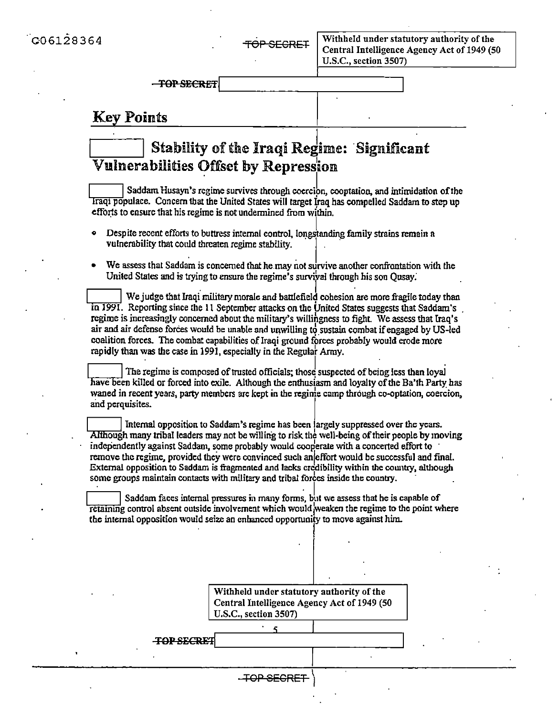# **Key Points**

# **Stability of the Iraqi Regime: Significant** Vulnerabilities Offset by Repression

Saddam Husayn's regime survives through coercion, cooptation, and intimidation of the Iraqi populace. Concern that the United States will target Iraq has compelled Saddam to step up efforts to ensure that his regime is not undermined from within.

- Despite recent efforts to buttress internal control, longstanding family strains remain a vulnerability that could threaten regime stability.
- We assess that Saddam is concerned that he may not survive another confrontation with the United States and is trying to ensure the regime's survival through his son Qusay.

We judge that Iraqi military morale and battlefield cohesion are more fragile today than in 1991. Reporting since the 11 September attacks on the United States suggests that Saddam's regime is increasingly concerned about the military's willingness to fight. We assess that Iraq's air and air defense forces would be unable and unwilling to sustain combat if engaged by US-led coalition forces. The combat capabilities of Iraqi ground forces probably would erode more rapidly than was the case in 1991, especially in the Regular Army.

The regime is composed of trusted officials; those suspected of being less than loyal have been killed or forced into exile. Although the enthusiasm and lovalty of the Ba'th Party has waned in recent years, party members are kept in the regime camp through co-optation, coercion, and perquisites.

Internal opposition to Saddam's regime has been largely suppressed over the years. Although many tribal leaders may not be willing to risk the well-being of their people by moving independently against Saddam, some probably would cooperate with a concerted effort to remove the regime, provided they were convinced such an effort would be successful and final. External opposition to Saddam is fragmented and lacks credibility within the country, although some groups maintain contacts with military and tribal forces inside the country.

Saddam faces internal pressures in many forms, but we assess that he is capable of retaining control absent outside involvement which would weaken the regime to the point where the internal opposition would seize an enhanced opportunity to move against him.

> Withheld under statutory authority of the Central Intelligence Agency Act of 1949 (50 **U.S.C.**, section 3507)

**TOP SECRET** 

-TOP-SECRET-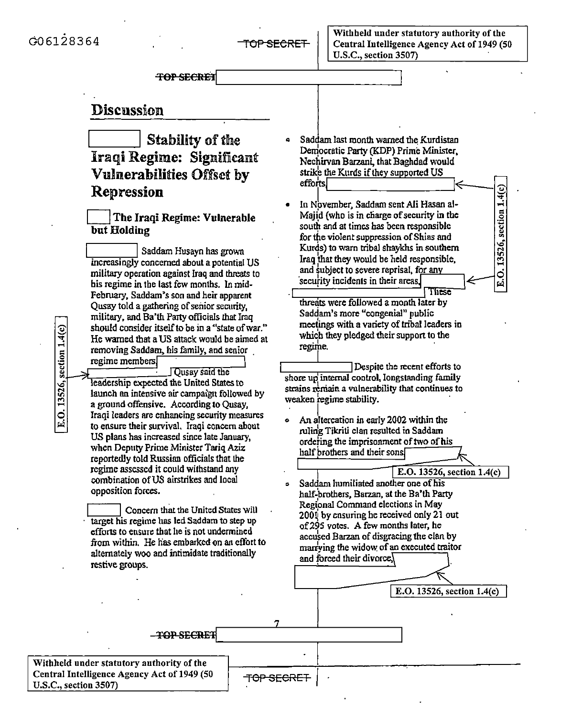E.O. 13526, section 1.4(c)

E.O. 13526, section 1.4(c)

**TOP SECRET** 

## **Discussion**

# Stability of the Iraqi Regime: Significant **Vulnerabilities Offset by** Repression

### The Iraqi Regime: Vulnerable but Holding

Saddam Husayn has grown increasingly concerned about a potential US military operation against Iraq and threats to his regime in the last few months. In mid-February, Saddam's son and heir apparent Ousay told a gathering of senior security, military, and Ba'th Party officials that Iraq should consider itself to be in a "state of war." He warned that a US attack would be aimed at removing Saddam, his family, and senior regime members.

**Qusay** said the leadership expected the United States to launch an intensive air campaign followed by a ground offensive. According to Qusay, Iraqi leaders are enhancing security measures to ensure their survival. Iraqi concern about US plans has increased since late January, when Deputy Prime Minister Tariq Aziz reportedly told Russian officials that the regime assessed it could withstand any combination of US airstrikes and local opposition forces.

Concern that the United States will target his regime has led Saddam to step up efforts to ensure that he is not undermined from within. He has embarked on an effort to alternately woo and intimidate traditionally restive groups.

- Saddam last month warned the Kurdistan Democratic Party (KDP) Prime Minister, Nechirvan Barzani, that Baghdad would strike the Kurds if they supported US efforts.
- In November, Saddam sent Ali Hasan al-Majid (who is in charge of security in the south and at times has been responsible for the violent suppression of Shias and Kurds) to warn tribal shaykhs in southern Iraq that they would be held responsible. and subject to severe reprisal, for any security incidents in their areas.

These threats were followed a month later by Saddam's more "congenial" public meetings with a variety of tribal leaders in which they pledged their support to the regime.

Despite the recent efforts to shore up internal control, longstanding family strains remain a vulnerability that continues to weaken regime stability.

An altercation in early 2002 within the ruling Tikriti clan resulted in Saddam ordering the imprisonment of two of his half brothers and their sons



E.O. 13526, section 1.4(c)

**TOP SECRET** 

Withheld under statutory authority of the Central Intelligence Agency Act of 1949 (50 U.S.C., section 3507)

TOP SECRET

 $\ddot{\phantom{a}}$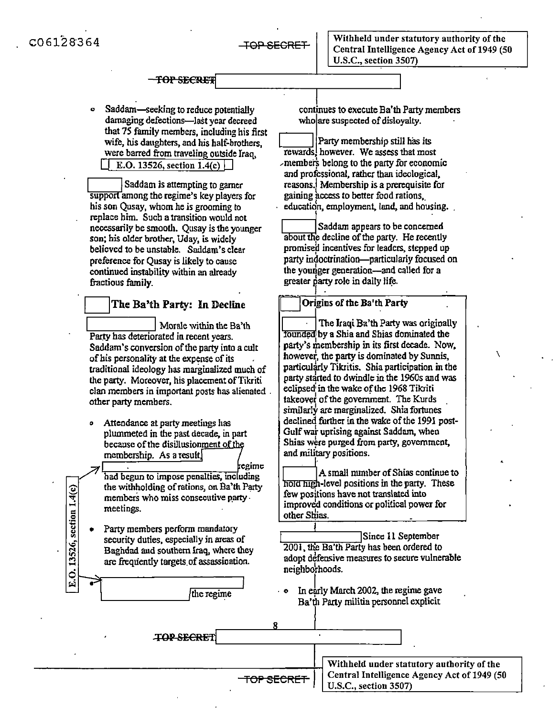o Saddam-seeking to reduce potentially damaging defections-last year decreed that 75 family members, including his first wife, his daughters, and his half-brothers, were barred from traveling outside Iraq,  $\Box$  E.O. 13526, section 1.4(c)  $\Box$ IISaddam is attempting to garner

support among the regime's key players for his son Qusay, whom he is grooming to replace him. Such a transition would not necessarily be smooth. Qusay is the younger son; his older brother, Uday, is widely believed to be unstable. Saddam's clear preference for Qusay is likely to cause continued instability within an already fractious family.

#### he Ba'th Party: In Decline  $\overline{\phantom{0}}$

Morale within the Ba'th Party has deteriorated in recent years. Saddam's conversion of the party into a cult of his personality at the expense of its . traditional ideology has marginalized much of the party. Moreover, his placement of Tikriti clan members in important posts has alienated . other party members.

Attendance at party meetings has plummeted in the past decade, in part because of the disillusionment of membership. As a result

/ 

E.O. 13526, section 1.4(c)

 $\overline{\phantom{a}}$   $\overline{\phantom{a}}$   $\overline{\phantom{a}}$   $\overline{\phantom{a}}$   $\overline{\phantom{a}}$   $\overline{\phantom{a}}$   $\overline{\phantom{a}}$   $\overline{\phantom{a}}$   $\overline{\phantom{a}}$   $\overline{\phantom{a}}$   $\overline{\phantom{a}}$   $\overline{\phantom{a}}$   $\overline{\phantom{a}}$   $\overline{\phantom{a}}$   $\overline{\phantom{a}}$   $\overline{\phantom{a}}$   $\overline{\phantom{a}}$   $\overline{\phantom{a}}$   $\overline{\$  $'$  had begun to impose penalties, including the withholding ofrations, on Ba'th Party members who miss consecutive party · meetings.

Party members perform mandatory security duties, especially in areas of Baghdad and southern Iraq, where they are frequently targets.of assassination. • 

.\_\_\_\_\_\_\_\_,

the regime

continues to execute Ba'th Party members who are suspected of disloyalty.

 $\Box$ Party membership still has its rewards, however. We assess that most  $\lambda$  members belong to the party for economic and professional, rather than ideological, reasons.j Membership is a prerequisite for gaining access *to* better food rations education, employment, land, and housing.

Saddam appears to be concerned ~edecline ofthe party. He recently promised incentives for leaders, stepped up party indoctrination—particularly focused on the younger generation-and called for a greater party role in daily life. ,------i

### Origins of the Ba'th Party

 $\boxed{\phantom{a}}$  The Iraqi Ba'th Party was originally Tounded by a Shia and Shias dominated the party's membership in its first decade. Now. howevef, the party is dominated by Sunnis, particularly Tikritis. Shia participation in the party started to dwindle in the 1960s and was eclipsed in the wake of the 1968 Tilciti takeover of the government. The Kurds similarly are marginalized. Shia fortunes declined further in the wake of the 1991 post Gulf war uprising against Saddam, when Shias were purged from party, government, and military positions.

 $\lambda$ 

 $\boxed{\phantom{+}-}$  A small number of Shias continue to hold high-level positions in the party. These few positions have not translated into improved conditions or political power for other Shias. ֚֡

Since 11 September 2001, the Ba'th Party has been ordered to adopt defensive measures to secure vulnerable neighborhoods.

 $\cdot$   $\cdot$  In early March 2002, the regime gave Ba'th Party militia personnel explicit

TOP SECRET Withheld under statutory authority of the Central Intelligence Agency Act of 1949 (50 TOP SECRET U.S.C., section 3507)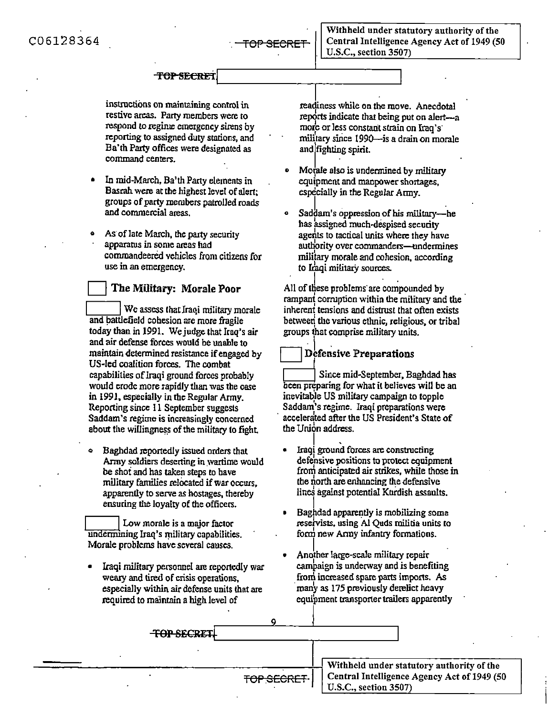Withheld under statutory authority of the Central Intelligence Agency Act of 1949 (SO U.S.C., section 3S07)

#### **TOP SECRET**

instructions on maintaining control in restive areas. Party members were to respond to regime emergency sirens by reporting to assigned duty stations, and Ba'th Party offices were designated as command centers.

- In mid-March, Ba'th Party elements in Basrah were at the highest level of alert; groups of party members patroUed roads and commercial areas.
- As of late March, the party security appararus in some areas had commandeered vehicles from citizens for use in an emergency.

#### D **The Military:** Morale **Poor**

We assess that Iraqi military morale and battlefield cohesion are more fragile today than in 1991. We judge that Iraq's air and air defense forces would be unable to maintain determined resistance if engaged by US-led coalition forces. The combat capabilities of Iraqi ground forces probably would erode more rapidly than was the case in 1991, especially in the Regular Army. Reporting since 11 September suggests Saddam's regime is increasingly concerned about the willingness of the military to fight.

o Baghdad reportedly issued orders that Army soldiers deserting in wartime would be shot and has taken steps to have military families relocated if war occurs. apparently to serve as hostages, thereby ensuring tlte loyalty of the officers. military families relocated if war o<br>apparently to serve as hostages, the<br>ensuring the loyalty of the officers<br>Low morale is a major factor<br>undermining Iraq's military capabilities

undermining Iraq's military capabilities. Morale problems have several causes.

Iraqi military personnel are reportedly war weary and tired of crisis operations, especially within air defense units that are required to maintain a high level of

readiness while on the move. Anecdotal reports indicate that being put on alert-a mote or less conscantstrain on Iraq's· military since 1990—is a drain on morale and  $f$  fighting spirit.

- Motale also is undermined by military equipment and manpower shortages, especially in the Regular Army.
- Saddam's oppression of his military-he has assigned much-despised security agents to tactical units where they have authority over commanders-undermines military morale and cohesion, according to Iraqi military sources.

All of these problems are compounded by rampant corruption within the military and the inherent tensions and distrust that often exists betweed the various etlmic, religious, or tribal groups ihat comprise military units.

Defensive Preparations<br>|<br>| Since mid-September, Baghdad has been preparing for what it believes will be an inevitab)e US military campaign to topple Saddam's regime. lraqi preparations were accelerated after the US President's State of the Union address.

- $\prod_{i=1}^{n}$ • Iraqi ground forces are constructing defensive positions to protect equipment from anticipated air strikes, while those in the north are enhancing the defensive lines against potential Kurdish assaults.
- **EXECUTE IS A REPORT OF A PARTICULAR SUBSEX 1**<br>• Baghdad apparently is mobilizing some resetvists, using Al Quds militia units to form new Army infantry formations.
- Another large-scale military repair campaign is underway and is benefiting from increased spare parts imports. As many as 175 previously derelict heavy equipment transporter trailers apparently

|  | <del>TOP SECRET.</del> |            |                                                                      |
|--|------------------------|------------|----------------------------------------------------------------------|
|  |                        |            | Withheld under statutory authority of the                            |
|  |                        | TOP SECRET | Central Intelligence Agency Act of 1949 (50<br>U.S.C., section 3507) |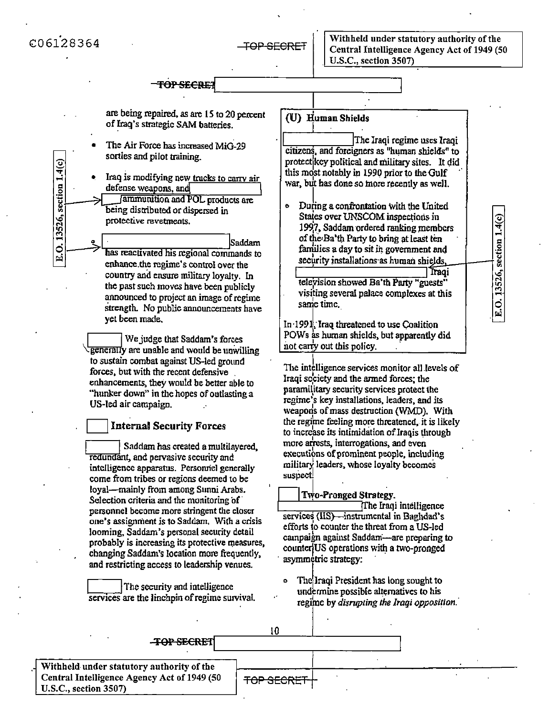C06128364

E.O. 13526, section 1.4(c)

TOP SECRET

| are being repaired, as are 15 to 20 percent<br>of Iraq's strategic SAM batteries.                                                                                                                                                                                                                                                                                              | (U) Human Shields                                                                                                                                                                                                                                           |
|--------------------------------------------------------------------------------------------------------------------------------------------------------------------------------------------------------------------------------------------------------------------------------------------------------------------------------------------------------------------------------|-------------------------------------------------------------------------------------------------------------------------------------------------------------------------------------------------------------------------------------------------------------|
| The Air Force has increased MiG-29<br>sorties and pilot training.                                                                                                                                                                                                                                                                                                              | The Iraqi regime uses Iraqi<br>citizens, and foreigners as "human shields" to<br>protect key political and military sites. It did                                                                                                                           |
| E.O. 13526, section 1.4(c)<br>Iraq is modifying new trucks to carry air<br>۰<br>defense weapons, and<br>ammunition and POL products are                                                                                                                                                                                                                                        | this most notably in 1990 prior to the Gulf<br>war, but has done so more recently as well.                                                                                                                                                                  |
| being distributed or dispersed in<br>protective revetments.                                                                                                                                                                                                                                                                                                                    | During a confrontation with the United<br>Đ<br>States over UNSCOM inspections in<br>1997, Saddam ordered ranking members                                                                                                                                    |
| Saddam<br>has reactivated his regional commands to<br>enhance the regime's control over the                                                                                                                                                                                                                                                                                    | of the Ba'th Party to bring at least ten<br>families a day to sit in government and<br>security installations as human shields,                                                                                                                             |
| country and ensure military loyalty. In<br>the past such moves have been publicly<br>announced to project an image of regime<br>strength. No public announcements have                                                                                                                                                                                                         | Traqi<br>television showed Ba'th Party "guests"<br>visiting several palace complexes at this<br>same time.                                                                                                                                                  |
| yet been made.<br>We judge that Saddam's forces<br>generally are unable and would be unwilling                                                                                                                                                                                                                                                                                 | In 1991, Iraq threatened to use Coalition<br>POWs as human shields, but apparently did<br>not carry out this policy.                                                                                                                                        |
| to sustain combat against US-led ground<br>forces, but with the recent defensive<br>enhancements, they would be better able to<br>"hunker down" in the hopes of outlasting a<br>US-led air campaign.                                                                                                                                                                           | The intelligence services monitor all levels of<br>Iraqi society and the armed forces; the<br>paramilitary security services protect the<br>regime's key installations, leaders, and its<br>weapon's of mass destruction (WMD). With                        |
| <b>Internal Security Forces</b>                                                                                                                                                                                                                                                                                                                                                | the regime feeling more threatened, it is likely<br>to increase its intimidation of Iraqis through                                                                                                                                                          |
| Saddam has created a multilayered,<br>redundant, and pervasive security and<br>intelligence apparatus. Personnel generally<br>come from tribes or regions deemed to be                                                                                                                                                                                                         | more arrests, interrogations, and even<br>executions of prominent people, including<br>military leaders, whose loyalty becomes<br>suspect!                                                                                                                  |
| loyal—mainly from among Sunni Arabs.<br>Selection criteria and the monitoring of<br>personnel become more stringent the closer<br>one's assignment is to Saddam. With a crisis<br>looming, Saddam's personal security detail<br>probably is increasing its protective measures,<br>changing Saddam's location more frequently,<br>and restricting access to leadership venues. | Two-Pronged Strategy.<br>The Iraqi intelligence<br>services (IIS)—instrumental in Baglidad's<br>efforts to counter the threat from a US-led<br>campaign against Saddam—are preparing to<br>counter US operations with a two-pronged<br>asymmetric strategy: |
| The security and intelligence<br>services are the linchpin of regime survival.                                                                                                                                                                                                                                                                                                 | The Iraqi President has long sought to<br>Ō.<br>undermine possible alternatives to his<br>regime by disrupting the Iraqi opposition.                                                                                                                        |
| 10<br><b>TOP SECRET</b>                                                                                                                                                                                                                                                                                                                                                        |                                                                                                                                                                                                                                                             |

Withheld under statutory authority of the Central Intelligence Agency Act of 1949 (50 U.S.C., section 3507)

**TOP SECRET**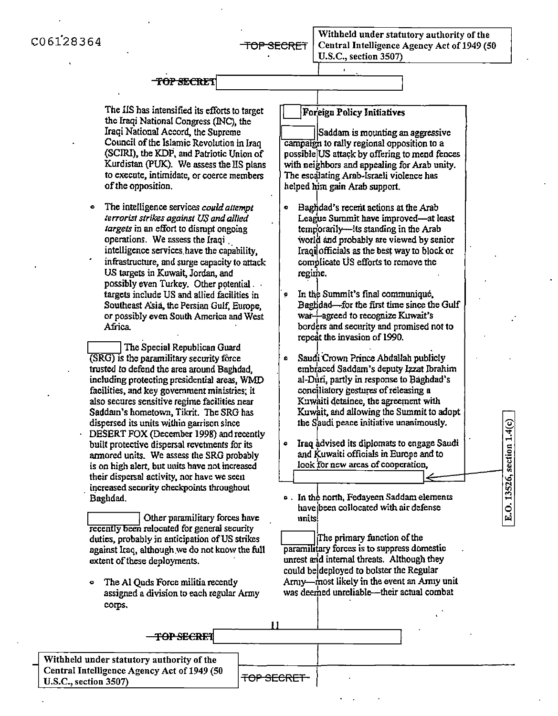C06128364

#### TOP SECRET

The IIS has intensified its efforts to target the Iraqi National Congress (INC), the Iraqi National Accord, the Supreme Council of the Islamic Revolution in Iraq (SCIRI), the KDP, and Patriotic Union of Kurdistan (PUK). We assess the IIS plans to execute, intimidate, or coerce members of the opposition.

The intelligence services could attempt terrorist strikes against US and allied targets in an effort to disrupt ongoing operations. We assess the Iraqi intelligence services have the capability. infrastructure, and surge capacity to attack US targets in Kuwait, Jordan, and possibly even Turkey. Other potential . . targets include US and allied facilities in Southeast Asia, the Persian Gulf, Europe. or possibly even South America and West Africa.

The Special Republican Guard (SRG) is the paramilitary security force trusted to defend the area around Baghdad. including protecting presidential areas. WMD facilities, and key government ministries: it also secures sensitive regime facilities near Saddam's hometown, Tikrit. The SRG has dispersed its units within garrison since DESERT FOX (December 1998) and recently built protective dispersal revetments for its armored units. We assess the SRG probably is on high alert, but units have not increased their dispersal activity, nor have we seen increased security checkpoints throughout Baghdad.

Other paramilitary forces have recently been relocated for general security duties, probably in anticipation of US strikes against Iraq, although we do not know the full extent of these deployments.

The Al Quds Force militia recently  $\bullet$ assigned a division to each regular Army corps.

#### Foreign Policy Initiatives

 $\mathbf{r}$ 

Saddam is mounting an aggressive  $\overline{\text{canonical}}$  to rally regional opposition to a possible US attack by offering to mend fences with neighbors and appealing for Arab unity. The escalating Arab-Israeli violence has helped him gain Arab support.

- $\bullet$ Baghdad's recent actions at the Arab League Summit have improved-at least temporarily—its standing in the Arab world and probably are viewed by senior Iraqi officials as the best way to block or complicate US efforts to remove the regime.
- In the Summit's final communique.  $\bullet$ Baghdad-for the first time since the Gulf war-agreed to recognize Kuwait's borders and security and promised not to repeat the invasion of 1990.
- Saudi Crown Prince Abdallah publicly  $\bullet$ embraced Saddam's deputy Izzat Ibrahim al-Duri, partly in response to Baghdad's conciliatory gestures of releasing a Kuwaiti detainee, the agreement with Kuwait, and allowing the Summit to adopt the Saudi peace initiative unanimously.
- Iraq advised its diplomats to engage Saudi  $\bullet$ and Kuwaiti officials in Europe and to look for new areas of cooperation,

E.O. 13526, section 1.4(c)

o. In the north, Fedayeen Saddam elements have been collocated with air defense  $\mathbf{nnits}$ !

The primary function of the paramilitary forces is to suppress domestic unrest and internal threats. Although they could be deployed to boister the Regular Arniy—most likely in the event an Army unit was deemed unreliable—their actual combat

| <b>TOP SECRET</b>                           |                   |  |
|---------------------------------------------|-------------------|--|
|                                             |                   |  |
| Withheld under statutory authority of the   |                   |  |
| Central Intelligence Agency Act of 1949 (50 | <b>TOP SECRET</b> |  |
| <b>U.S.C., section 3507)</b>                |                   |  |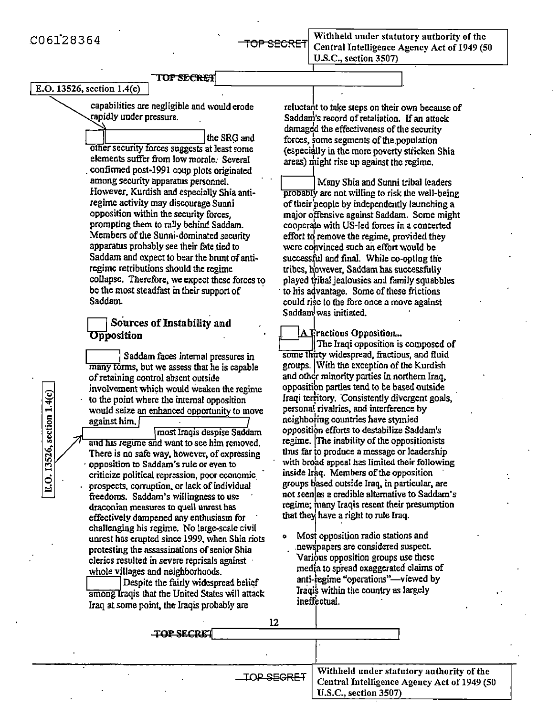E.O. 13526, section 1.4(c)

 \_\_..-..,.\_,,.=,,,,,.= 'fOF' SECRET

·

I

Withheld under statutory authority of the Central Intelligence Agency Act of 1949 (50 U.S.C., section 3507)

# $\boxed{\text{E.O. 13526, section 1.4(c)}$

capabilities arc negligible and would erode rapidly under pressure.

the SRG and other security forces suggests at least some elements suffer from low morale: Several confirmed post-1991 coup plots originated among security appararus personnel. However, Kurdish and especially Shia antiregime activity may discourage Sunni opposition within the security forces, prompting them to rally behind Saddam. Members of the Sunni-dominated security apparatus probably see their fate tied to Saddam and expect to bear the brunt of antircgime retributions should the regime collapse. Therefore, we expect these forces to be the most steadfast in their support of Saddam.

#### Sources of Instability and **Opposition**

**IIIS Sources of Instability and**<br> **Opposition**<br> **IIIS** Saddam faces internal pressures in many forms, but we assess that he is capable of retaining control absent outside involvement which would weaken the regime to the point where the internal opposition would seize an enhanced opportunity to move against him.

most Iraqis despise Saddam and his regime and want to see him removed. There is no safe way, however, of expressing · opposition to Saddam's rule or even to criticize political repression, poor economic. prospects, corruption, or lack of individual freedoms. Saddam's willingness to use draconian measures to quell unrest has effectively dampened any enthusiasm for challenging his regime. No large-scale civil unrest has erupted since 1999, when Shia riots protesting the assassinations of senior Shia clerics resulted in severe reprisals against · whole villages and neighborhoods.<br>
Despite the fairly widespread belief unrest has erupted since 1999, when Shia riot<br>protesting the assassinations of senior Shia<br>clerics resulted in severe reprisals against<br>whole villages and neighborhoods.<br>Despite the fairly widespread belief<br>among traqis th

among Iraqis that the United States will attack Iraq at some point, the Iraqis probably are

reluctant to take steps on their own because of Saddam's record of retaliation. If an attack<br>damaged the effectiveness of the security forces, some segments of the population (especially in the more poverty stricken Shia) areas) might rise up against the regime.

Many Shia and Sunni tribal leaders<br>probably are not willing to risk the well-being of their people by independently launching a major offensive against Saddam. Some might coopera'te with US-led forces in a concerted effort td remove the regime, provided they were convinced such an effort would be successful and final. While co-opting the tribes, however, Saddam has successfully played tribal jealousies and family squabbles to his advantage. Some of these frictions could rise to the fore once a move against Saddam was initiated.  $\int$  was initiated.

A Fractious Opposition... Tue Iraqi opposition is composed of some thirty widespread, fractious, and fluid groups. !With the exception of the Kurdish and other minority parties in northern Iraq, oppositibo parties tend to be based outside Iraqi territory. Consistently divergent goals, personal rivalries, and interference by neighbo}ing countries have stymied opposition efforts to destabilize Saddam's regime. The inability of the oppositionists thus far to produce a message or leadership with broad appeal has limited their following inside Iraq. Members of the opposition groups based outside Iraq, in particular, are not seenlas a credible alternative to Saddam's regime; many Iraqis resent their presumption that they have a right to rule Iraq.

o Most opposil.ion radio stations and .newspapers are considered suspect. Various opposition groups use these media to spread exaggerated claims of anti-regime "operations"—viewed by Iraqis within the country as largely ineffectual.

| <b>TOP SECRET</b> |                   |                                             |
|-------------------|-------------------|---------------------------------------------|
|                   |                   |                                             |
|                   |                   |                                             |
|                   | <b>TOP SEGRET</b> | Withheld under statutory authority of the   |
|                   |                   | Central Intelligence Agency Act of 1949 (50 |
|                   |                   | U.S.C., section 3507)                       |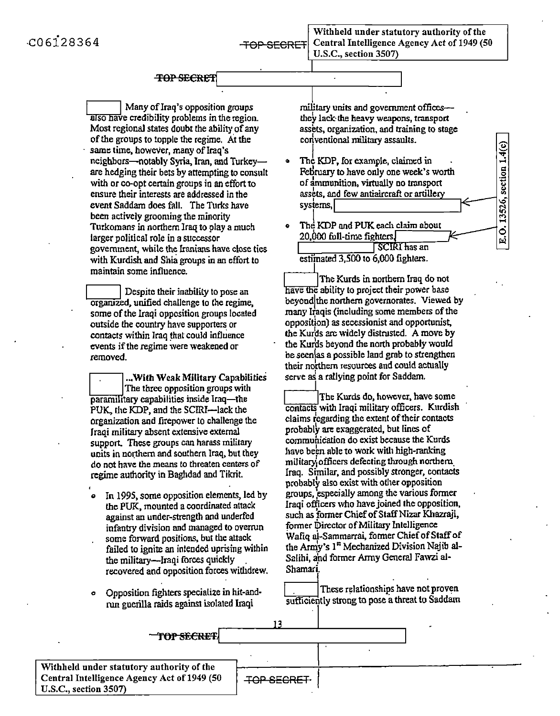Withheld under statutory authority of the Central Intelligence Agency Act of 1949 (50 U.S.C., section 3507)

# $\begin{picture}(180,190) \put(0,0){\line(1,0){100}} \put(10,0){\line(1,0){100}} \put(10,0){\line(1,0){100}} \put(10,0){\line(1,0){100}} \put(10,0){\line(1,0){100}} \put(10,0){\line(1,0){100}} \put(10,0){\line(1,0){100}} \put(10,0){\line(1,0){100}} \put(10,0){\line(1,0){100}} \put(10,0){\line(1,0){100}} \put(10,0){\line(1,0){100$

Many of Iraq's opposition groups also have credibility problems in the region. Most regional states doubt the ability of any of the groups to topple the regime. At the same time, however, many of Iraq's neighbors-notably Syria, Iran, and Turkeyare hedging their bets by attempting to consult with or co-opt certain groups in an effort to ensure their interests are addressed in the event Saddam does fall. The Turks have been actively grooming the minority Turkomans in northern Iraq to play a much larger political role in a successor government, while the Iranians have close ties with Kurdish and Shia groups in an effort to maintain some influence.

Despite their inability to pose an orgaruzed, unified challenge to the regime, some of the Iraqi opposition groups located outside the country have supporters or contacts within Iraq that could influence events if the regime were weakened or removed.

**... Will!** Weak Military Capabilities The three opposition groups with paramilitary capabilities inside Iraq-the PUK, the KDP, and the SCIRI-lack the organization and firepower to challenge the Iraqi military absent extensive external support. These groups can harass military units in northern and southern Iraq, but they do not have the means to threaten centers of regime authority in Baghdad and Tikrit.

- In 1995, some opposition elements, led by the PUK, mounted acoordinated attack against an under-strength and underfed infantry division and managed to overrun some forward positions, but the attack failed to ignite an intended uprising within the military-Iraqi forces quickly . recovered and opposition forces withdrew.
- *o*  Opposition .fighters specialize in hit-andrun guerilla raids against isolated Iraqi

I military units and government offices they' lack-die heavy weapons, transport assets, organization, and training to stage conventional military assaults.

> $\frac{1.4(}{}$ .§ ti

 $\frac{1}{2}$ 

; r.l

- The KDP, for example, claimed in February to have only one week's worth of ammunition, virtually no transport assets, and few antiaircraft or artillery  $s$ ystems,
- The KDP and PUK each claim about  $20.000$  full-time fighters. **SCIRI** has an

estimated 3,500 to 6,000 fighters.

The Kurds in northern Iraq do not have the ability to project their power base beyondjthe northern governorates. Viewed by many Iraqis (including some members of the opposition) as secessionist and opportunist, the Kufds are widely distrusted. A move by the Kurds beyond the north probably would be seen/as a possible land grab to strengthen their northern resources and could actually serve as a rallying point for Saddam.

The Kurds do, however, have some contacts with Iraqi military officers. Kurdish claims regarding the extent of their contacts probably are exaggerated, but lines of communication do exist because the Kurds have been able to work with high-ranking military officers defecting through northern. Iraq. Similar, and possibly stronger, contacts probably also exist with otl1er opposition groups, especially among the various former Iraqi officers who have joined the opposition. such as former Chief of Staff Nizar Khazraji, former Director of Military Intelligence Waliq al-Sammarrai, former Chief of Staff of the Army's l" Mechanized Division Najib al-Salihi, and former Army General Fawzi al-Shamari.

These relationships have not proven sufficiently strong to pose a threat to Saddam

| TOP SECRET!                                                                                                       |                    |  |
|-------------------------------------------------------------------------------------------------------------------|--------------------|--|
|                                                                                                                   |                    |  |
| Withheld under statutory authority of the<br>Central Intelligence Agency Act of 1949 (50<br>U.S.C., section 3507) | <b>TOP SECRET.</b> |  |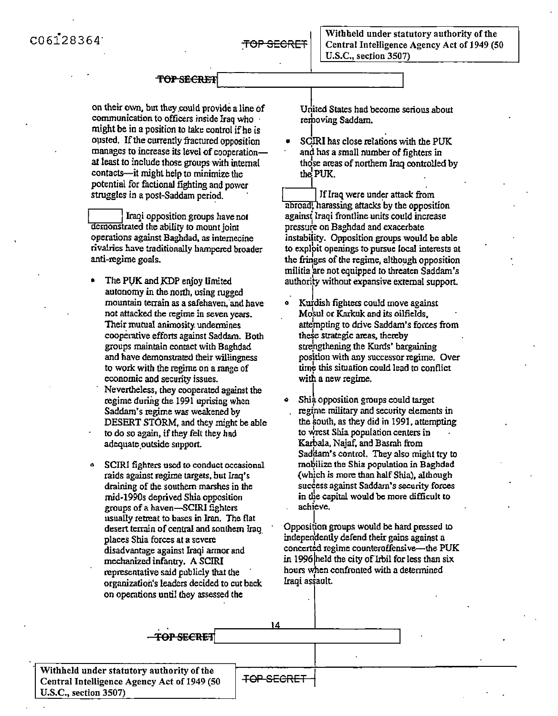on their own, but they could provide a line of communication to officers inside Iraq who might be in a position to take control if he is ousted. If the currently fractured opposition manages to increase its level of cooperationat least to include those groups with internal contacts-it might help to minimize the potential for factional fighting and power struggles in a post-Saddam period. contacts—it might help to minimize the<br>potential for factional fighting and power<br>struggles in a post-Saddam period.<br>Inaqi opposition groups have not<br>demonstrated the ability to mount joint

demonstrated the ability to mount joint operations against Baghdad, as internecine rivalries have traditionally hampered broader anti-regime goals.

- The PUK and KDP enjoy limited autonomy in the north, using rugged mountain terrain as a safehaven,"and have not attacked the regime in seven years. Their mutual animosity. undennines cooperative efforts against Saddam. Both groups maintain contact with Baghdad and have demonstrated their willingness to work with the regime on a range of economic and security issues. Nevertheless, they cooperated against the regime during the  $1991$  uprising when Saddam's regime was weakened by DESERT STORM, and they might be able to do so again, if they felt they had adequate.outside support.
- SCIRI fighters used to conduct occasional raids against regime targets, but lraq's draining of the southern marshes in the mid-1990s deprived Shia opposition groups of a haven-SCIRI fighters usually retreat to bases in Iran. The flat desert terrain of central and sonthern Iraq. places Shia forces at a severe disadvantage against Iraqi armor and mechanized infanuy. A SCIRI representative said publicly that lhe organization's leaders decided to cut back on operations until they assessed the

**TOP SECRET** 

United Slates had become serious about removing Saddam.

 $\prod_{i=1}^n$  . The second second  $\prod_{i=1}^n$ • SCIRI has close relations with the PUK and has a small number of fighters in those areas of northern Iraq controlled by the PUK.

abroad, harassing attacks by the opposition If Iraq were under attack from agains' Iraqi frontline units could increase pressure on Baghdad and exacerbate instability. Opposition groups would be able to explbit openings to pursue local interests at the fringes of the regime, although opposition militia 1 are not equipped to threaten Saddam's authority without expansive external support. I

- Kurdish fighters could move against Mosul or Karkuk and its oilfields, atte'mpting to drive Saddam's forces from these strategic areas, thereby strengthening the Kurds' bargaining position with any successor regime. Over time this situation could lead to conflict with a new regime.
- Shia opposition groups could target regime military and security elements in the south, as they did in 1991, attempting to wrest Shia population centers in Karbala, Najaf, and Basrah from Saddam's control. They also might try to mobilize the Shia population in Baghdad {which is mare than half Shia), although success against Saddam's security forces in the capital would be more difficult to achieve.

Opposition groups would be hard pressed to independently defend their gains against a concerted regime counteroffensive-the PUK in 1996 held the city of Irbil for less than six hours when confronted with a determined Iraqi as\$ault

I

14

Withheld under statutory authority of the<br>Central Intelligence Agency Act of 1949 (50 FOP SECRET U.S.C., section 3507)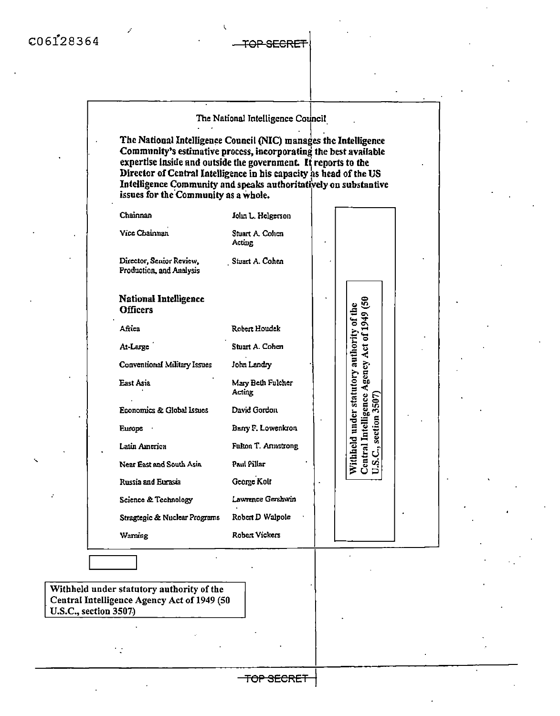#### The National Intelligence Council

The National Intelligence Council (NIC) manages the Intelligence Community's estimative process, incorporating the best available expertise inside and outside the government. It reports to the Director of Central Intelligence in his capacity as head of the US Intelligence Community and speaks authoritatively on substantive issues for the Community as a whole.

| Chainnan                                             | John L. Helgerson           |                                                                                                                   |
|------------------------------------------------------|-----------------------------|-------------------------------------------------------------------------------------------------------------------|
| <b>Vice Chainnan</b>                                 | Stuart A. Colum<br>Acting   |                                                                                                                   |
| Director, Senior Review,<br>Production, and Analysis | Stuart A. Cohen             |                                                                                                                   |
| <b>National Intelligence</b><br><b>Officers</b>      |                             |                                                                                                                   |
| Africa                                               | Robert Houdek               |                                                                                                                   |
| At-Large                                             | Stuart A. Cohen             |                                                                                                                   |
| Conventional Military Issues                         | John Landry                 |                                                                                                                   |
| East Asia                                            | Mary Beth Fulcher<br>Acting | Withheld under statutory authority of the<br>Central Intelligence Agency Act of 1949 (50<br>U.S.C., section 3507) |
| Economics & Global Issues                            | David Gordon                |                                                                                                                   |
| Europe                                               | Barry F. Lowenkron          |                                                                                                                   |
| Latin America                                        | <b>Fulton T. Amistrong</b>  |                                                                                                                   |
| Near East and South Asia                             | Paul Pillar                 |                                                                                                                   |
| Russia and Eurasia                                   | George Kolt                 |                                                                                                                   |
| Science & Technology                                 | Lawrence Gershwin           |                                                                                                                   |
| Stragtegic & Nuclear Programs                        | Robert D Walpole            |                                                                                                                   |
| Warning                                              | <b>Robert Vickers</b>       |                                                                                                                   |
|                                                      |                             |                                                                                                                   |

Withheld under statutory authority of the Central Intelligence Agency Act of 1949 (50 U.S.C., section 3507)

 $\frac{1}{2}$